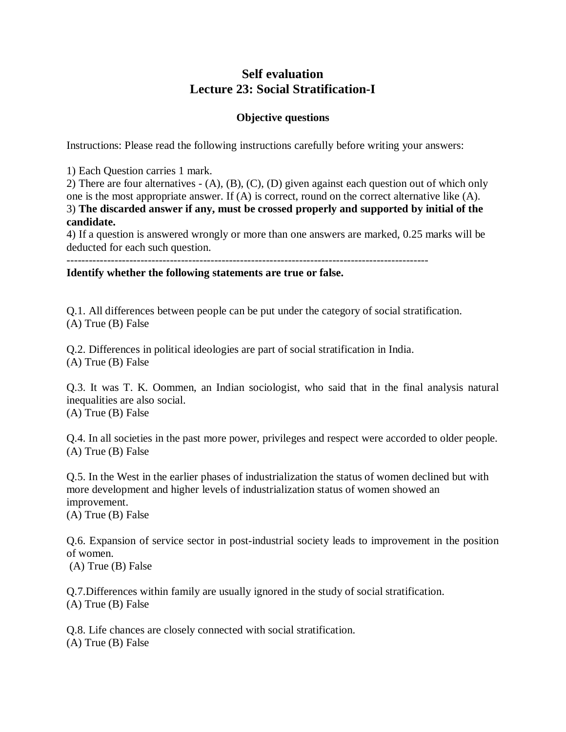## **Self evaluation Lecture 23: Social Stratification-I**

## **Objective questions**

Instructions: Please read the following instructions carefully before writing your answers:

1) Each Question carries 1 mark.

2) There are four alternatives - (A), (B), (C), (D) given against each question out of which only one is the most appropriate answer. If (A) is correct, round on the correct alternative like (A). 3) **The discarded answer if any, must be crossed properly and supported by initial of the candidate.**

4) If a question is answered wrongly or more than one answers are marked, 0.25 marks will be deducted for each such question.

--------------------------------------------------------------------------------------------------

**Identify whether the following statements are true or false.** 

Q.1. All differences between people can be put under the category of social stratification. (A) True (B) False

Q.2. Differences in political ideologies are part of social stratification in India. (A) True (B) False

Q.3. It was T. K. Oommen, an Indian sociologist, who said that in the final analysis natural inequalities are also social. (A) True (B) False

Q.4. In all societies in the past more power, privileges and respect were accorded to older people. (A) True (B) False

Q.5. In the West in the earlier phases of industrialization the status of women declined but with more development and higher levels of industrialization status of women showed an improvement.

(A) True (B) False

Q.6. Expansion of service sector in post-industrial society leads to improvement in the position of women.

(A) True (B) False

Q.7.Differences within family are usually ignored in the study of social stratification. (A) True (B) False

Q.8. Life chances are closely connected with social stratification. (A) True (B) False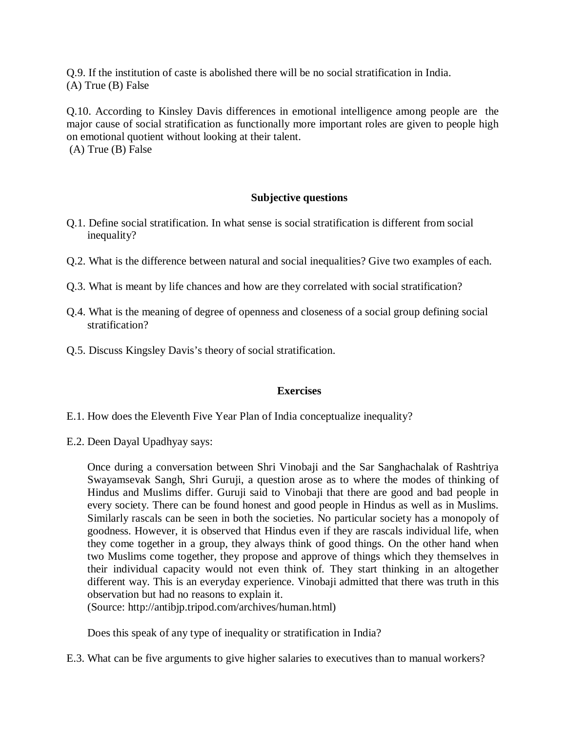Q.9. If the institution of caste is abolished there will be no social stratification in India. (A) True (B) False

Q.10. According to Kinsley Davis differences in emotional intelligence among people are the major cause of social stratification as functionally more important roles are given to people high on emotional quotient without looking at their talent. (A) True (B) False

## **Subjective questions**

- Q.1. Define social stratification. In what sense is social stratification is different from social inequality?
- Q.2. What is the difference between natural and social inequalities? Give two examples of each.
- Q.3. What is meant by life chances and how are they correlated with social stratification?
- Q.4. What is the meaning of degree of openness and closeness of a social group defining social stratification?
- Q.5. Discuss Kingsley Davis's theory of social stratification.

## **Exercises**

- E.1. How does the Eleventh Five Year Plan of India conceptualize inequality?
- E.2. Deen Dayal Upadhyay says:

Once during a conversation between Shri Vinobaji and the Sar Sanghachalak of Rashtriya Swayamsevak Sangh, Shri Guruji, a question arose as to where the modes of thinking of Hindus and Muslims differ. Guruji said to Vinobaji that there are good and bad people in every society. There can be found honest and good people in Hindus as well as in Muslims. Similarly rascals can be seen in both the societies. No particular society has a monopoly of goodness. However, it is observed that Hindus even if they are rascals individual life, when they come together in a group, they always think of good things. On the other hand when two Muslims come together, they propose and approve of things which they themselves in their individual capacity would not even think of. They start thinking in an altogether different way. This is an everyday experience. Vinobaji admitted that there was truth in this observation but had no reasons to explain it.

(Source: http://antibjp.tripod.com/archives/human.html)

Does this speak of any type of inequality or stratification in India?

E.3. What can be five arguments to give higher salaries to executives than to manual workers?